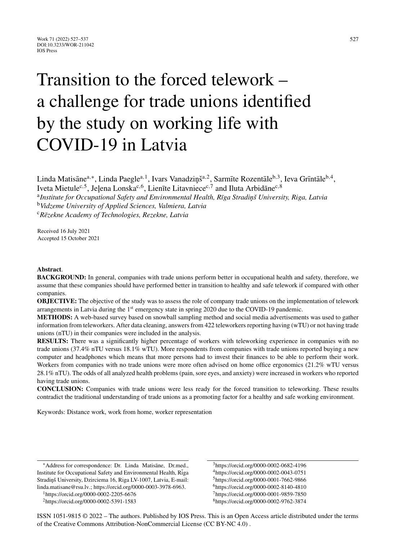# Transition to the forced telework – a challenge for trade unions identified by the study on working life with COVID-19 in Latvia

Linda Matisāne<sup>a,∗</sup>, Linda Paegle<sup>a, 1</sup>, Ivars Vanadziņš<sup>a, 2</sup>, Sarmīte Rozentāle<sup>b, 3</sup>, Ieva Grīntāle<sup>b, 4</sup>, Iveta Mietule<sup>c,5</sup>, Jelena Lonska<sup>c, 6</sup>, Lienīte Litavniece<sup>c, 7</sup> and Iluta Arbidāne<sup>c, 8</sup> <sup>a</sup>Institute for Occupational Safety and Environmental Health, Rīga Stradinš University, Riga, Latvia

<sup>b</sup>*Vidzeme University of Applied Sciences, Valmiera, Latvia* <sup>c</sup>*R¯ezekne Academy of Technologies, Rezekne, Latvia*

Received 16 July 2021 Accepted 15 October 2021

## **Abstract**.

**BACKGROUND:** In general, companies with trade unions perform better in occupational health and safety, therefore, we assume that these companies should have performed better in transition to healthy and safe telework if compared with other companies.

**OBJECTIVE:** The objective of the study was to assess the role of company trade unions on the implementation of telework arrangements in Latvia during the 1<sup>st</sup> emergency state in spring 2020 due to the COVID-19 pandemic.

**METHODS:** A web-based survey based on snowball sampling method and social media advertisements was used to gather information from teleworkers. After data cleaning, answers from 422 teleworkers reporting having (wTU) or not having trade unions (nTU) in their companies were included in the analysis.

**RESULTS:** There was a significantly higher percentage of workers with teleworking experience in companies with no trade unions (37.4% nTU versus 18.1% wTU). More respondents from companies with trade unions reported buying a new computer and headphones which means that more persons had to invest their finances to be able to perform their work. Workers from companies with no trade unions were more often advised on home office ergonomics (21.2% wTU versus 28.1% nTU). The odds of all analyzed health problems (pain, sore eyes, and anxiety) were increased in workers who reported having trade unions.

**CONCLUSION:** Companies with trade unions were less ready for the forced transition to teleworking. These results contradict the traditional understanding of trade unions as a promoting factor for a healthy and safe working environment.

Keywords: Distance work, work from home, worker representation

∗Address for correspondence: Dr. Linda Matisane, Dr.med., ¯ Institute for Occupational Safety and Environmental Health, Riga Stradiņš University, Dzirciema 16, Riga LV-1007, Latvia, E-mail: [linda.matisane@rsu.lv.](mailto:linda.matisane@rsu.lv); https://orcid.org/0000-0003-3978-6963.

1https://orcid.org/0000-0002-2205-6676

3https://orcid.org/0000-0002-0682-4196 4https://orcid.org/0000-0002-0043-0751 5https://orcid.org/0000-0001-7662-9866 6https://orcid.org/0000-0002-8140-4810 7https://orcid.org/0000-0001-9859-7850 8https://orcid.org/0000-0002-9762-3874

ISSN 1051-9815 © 2022 – The authors. Published by IOS Press. This is an Open Access article distributed under the terms of the [Creative Commons Attribution-NonCommercial License \(CC BY-NC 4.0\) .](https://creativecommons.org/licenses/by/4.0/)

<sup>2</sup>https://orcid.org/0000-0002-5391-1583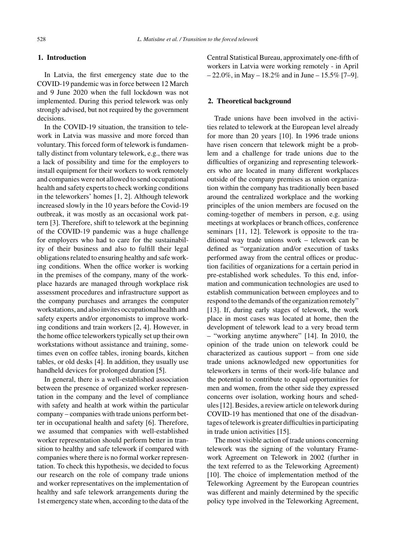## **1. Introduction**

In Latvia, the first emergency state due to the COVID-19 pandemic was in force between 12 March and 9 June 2020 when the full lockdown was not implemented. During this period telework was only strongly advised, but not required by the government decisions.

In the COVID-19 situation, the transition to telework in Latvia was massive and more forced than voluntary. This forced form of telework is fundamentally distinct from voluntary telework, e.g., there was a lack of possibility and time for the employers to install equipment for their workers to work remotely and companies were not allowed to send occupational health and safety experts to check working conditions in the teleworkers' homes [1, 2]. Although telework increased slowly in the 10 years before the Covid-19 outbreak, it was mostly as an occasional work pattern [3]. Therefore, shift to telework at the beginning of the COVID-19 pandemic was a huge challenge for employers who had to care for the sustainability of their business and also to fulfill their legal obligations related to ensuring healthy and safe working conditions. When the office worker is working in the premises of the company, many of the workplace hazards are managed through workplace risk assessment procedures and infrastructure support as the company purchases and arranges the computer workstations, and also invites occupational health and safety experts and/or ergonomists to improve working conditions and train workers [2, 4]. However, in the home office teleworkers typically set up their own workstations without assistance and training, sometimes even on coffee tables, ironing boards, kitchen tables, or old desks [4]. In addition, they usually use handheld devices for prolonged duration [5].

In general, there is a well-established association between the presence of organized worker representation in the company and the level of compliance with safety and health at work within the particular company – companies with trade unions perform better in occupational health and safety [6]. Therefore, we assumed that companies with well-established worker representation should perform better in transition to healthy and safe telework if compared with companies where there is no formal worker representation. To check this hypothesis, we decided to focus our research on the role of company trade unions and worker representatives on the implementation of healthy and safe telework arrangements during the 1st emergency state when, according to the data of the

Central Statistical Bureau, approximately one-fifth of workers in Latvia were working remotely - in April  $-22.0\%$ , in May  $-18.2\%$  and in June  $-15.5\%$  [7-9].

## **2. Theoretical background**

Trade unions have been involved in the activities related to telework at the European level already for more than 20 years [10]. In 1996 trade unions have risen concern that telework might be a problem and a challenge for trade unions due to the difficulties of organizing and representing teleworkers who are located in many different workplaces outside of the company premises as union organization within the company has traditionally been based around the centralized workplace and the working principles of the union members are focused on the coming-together of members in person, e.g. using meetings at workplaces or branch offices, conference seminars [11, 12]. Telework is opposite to the traditional way trade unions work – telework can be defined as "organization and/or execution of tasks performed away from the central offices or production facilities of organizations for a certain period in pre-established work schedules. To this end, information and communication technologies are used to establish communication between employees and to respond to the demands of the organization remotely" [13]. If, during early stages of telework, the work place in most cases was located at home, then the development of telework lead to a very broad term – "working anytime anywhere" [14]. In 2010, the opinion of the trade union on telework could be characterized as cautious support – from one side trade unions acknowledged new opportunities for teleworkers in terms of their work-life balance and the potential to contribute to equal opportunities for men and women, from the other side they expressed concerns over isolation, working hours and schedules [12]. Besides, a review article on telework during COVID-19 has mentioned that one of the disadvantages of telework is greater difficulties in participating in trade union activities [15].

The most visible action of trade unions concerning telework was the signing of the voluntary Framework Agreement on Telework in 2002 (further in the text referred to as the Teleworking Agreement) [10]. The choice of implementation method of the Teleworking Agreement by the European countries was different and mainly determined by the specific policy type involved in the Teleworking Agreement,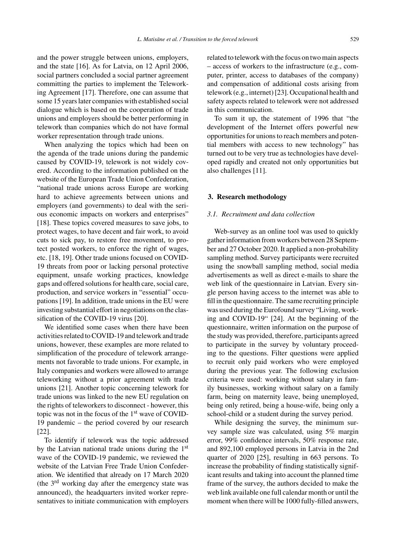and the power struggle between unions, employers, and the state [16]. As for Latvia, on 12 April 2006, social partners concluded a social partner agreement committing the parties to implement the Teleworking Agreement [17]. Therefore, one can assume that some 15 years later companies with established social dialogue which is based on the cooperation of trade unions and employers should be better performing in telework than companies which do not have formal worker representation through trade unions.

When analyzing the topics which had been on the agenda of the trade unions during the pandemic caused by COVID-19, telework is not widely covered. According to the information published on the website of the European Trade Union Confederation, "national trade unions across Europe are working hard to achieve agreements between unions and employers (and governments) to deal with the serious economic impacts on workers and enterprises" [18]. These topics covered measures to save jobs, to protect wages, to have decent and fair work, to avoid cuts to sick pay, to restore free movement, to protect posted workers, to enforce the right of wages, etc. [18, 19]. Other trade unions focused on COVID-19 threats from poor or lacking personal protective equipment, unsafe working practices, knowledge gaps and offered solutions for health care, social care, production, and service workers in "essential" occupations [19]. In addition, trade unions in the EU were investing substantial effort in negotiations on the classification of the COVID-19 virus [20].

We identified some cases when there have been activities related to COVID-19 and telework and trade unions, however, these examples are more related to simplification of the procedure of telework arrangements not favorable to trade unions. For example, in Italy companies and workers were allowed to arrange teleworking without a prior agreement with trade unions [21]. Another topic concerning telework for trade unions was linked to the new EU regulation on the rights of teleworkers to disconnect - however, this topic was not in the focus of the 1<sup>st</sup> wave of COVID-19 pandemic – the period covered by our research [22].

To identify if telework was the topic addressed by the Latvian national trade unions during the 1st wave of the COVID-19 pandemic, we reviewed the website of the Latvian Free Trade Union Confederation. We identified that already on 17 March 2020 (the 3rd working day after the emergency state was announced), the headquarters invited worker representatives to initiate communication with employers

related to telework with the focus on two main aspects – access of workers to the infrastructure (e.g., computer, printer, access to databases of the company) and compensation of additional costs arising from telework (e.g., internet) [23]. Occupational health and safety aspects related to telework were not addressed in this communication.

To sum it up, the statement of 1996 that "the development of the Internet offers powerful new opportunities for unions to reach members and potential members with access to new technology" has turned out to be very true as technologies have developed rapidly and created not only opportunities but also challenges [11].

### **3. Research methodology**

#### *3.1. Recruitment and data collection*

Web-survey as an online tool was used to quickly gather information from workers between 28 September and 27 October 2020. It applied a non-probability sampling method. Survey participants were recruited using the snowball sampling method, social media advertisements as well as direct e-mails to share the web link of the questionnaire in Latvian. Every single person having access to the internet was able to fill in the questionnaire. The same recruiting principle was used during the Eurofound survey "Living, working and COVID-19" [24]. At the beginning of the questionnaire, written information on the purpose of the study was provided, therefore, participants agreed to participate in the survey by voluntary proceeding to the questions. Filter questions were applied to recruit only paid workers who were employed during the previous year. The following exclusion criteria were used: working without salary in family businesses, working without salary on a family farm, being on maternity leave, being unemployed, being only retired, being a house-wife, being only a school-child or a student during the survey period.

While designing the survey, the minimum survey sample size was calculated, using 5% margin error, 99% confidence intervals, 50% response rate, and 892,100 employed persons in Latvia in the 2nd quarter of 2020 [25], resulting in 663 persons. To increase the probability of finding statistically significant results and taking into account the planned time frame of the survey, the authors decided to make the web link available one full calendar month or until the moment when there will be 1000 fully-filled answers,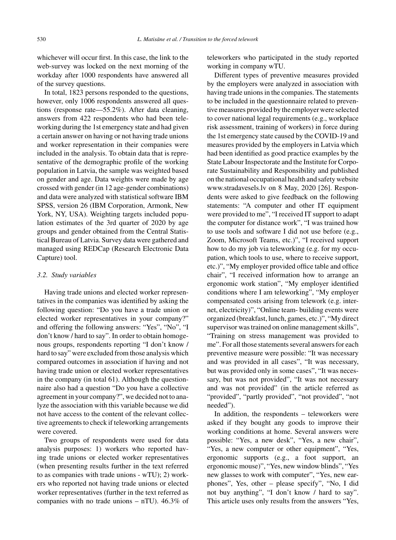whichever will occur first. In this case, the link to the web-survey was locked on the next morning of the workday after 1000 respondents have answered all of the survey questions.

In total, 1823 persons responded to the questions, however, only 1006 respondents answered all questions (response rate—55.2%). After data cleaning, answers from 422 respondents who had been teleworking during the 1st emergency state and had given a certain answer on having or not having trade unions and worker representation in their companies were included in the analysis. To obtain data that is representative of the demographic profile of the working population in Latvia, the sample was weighted based on gender and age. Data weights were made by age crossed with gender (in 12 age-gender combinations) and data were analyzed with statistical software IBM SPSS, version 26 (IBM Corporation, Armonk, New York, NY, USA). Weighting targets included population estimates of the 3rd quarter of 2020 by age groups and gender obtained from the Central Statistical Bureau of Latvia. Survey data were gathered and managed using REDCap (Research Electronic Data Capture) tool.

#### *3.2. Study variables*

Having trade unions and elected worker representatives in the companies was identified by asking the following question: "Do you have a trade union or elected worker representatives in your company?" and offering the following answers: "Yes", "No", "I don't know / hard to say". In order to obtain homogenous groups, respondents reporting "I don't know / hard to say" were excluded from those analysis which compared outcomes in association if having and not having trade union or elected worker representatives in the company (in total 61). Although the questionnaire also had a question "Do you have a collective agreement in your company?", we decided not to analyze the association with this variable because we did not have access to the content of the relevant collective agreements to check if teleworking arrangements were covered.

Two groups of respondents were used for data analysis purposes: 1) workers who reported having trade unions or elected worker representatives (when presenting results further in the text referred to as companies with trade unions - wTU); 2) workers who reported not having trade unions or elected worker representatives (further in the text referred as companies with no trade unions – nTU). 46.3% of teleworkers who participated in the study reported working in company wTU.

Different types of preventive measures provided by the employers were analyzed in association with having trade unions in the companies. The statements to be included in the questionnaire related to preventive measures provided by the employer were selected to cover national legal requirements (e.g., workplace risk assessment, training of workers) in force during the 1st emergency state caused by the COVID-19 and measures provided by the employers in Latvia which had been identified as good practice examples by the State Labour Inspectorate and the Institute for Corporate Sustainability and Responsibility and published on the national occupational health and safety website www.stradavesels.lv on 8 May, 2020 [26]. Respondents were asked to give feedback on the following statements: "A computer and other IT equipment were provided to me", "I received IT support to adapt the computer for distance work", "I was trained how to use tools and software I did not use before (e.g., Zoom, Microsoft Teams, etc.)", "I received support how to do my job via teleworking (e.g. for my occupation, which tools to use, where to receive support, etc.)", "My employer provided office table and office chair", "I received information how to arrange an ergonomic work station", "My employer identified conditions where I am teleworking", "My employer compensated costs arising from telework (e.g. internet, electricity)", "Online team- building events were organized (breakfast, lunch, games, etc.)", "My direct supervisor was trained on online management skills", "Training on stress management was provided to me". For all those statements several answers for each preventive measure were possible: "It was necessary and was provided in all cases", "It was necessary, but was provided only in some cases", "It was necessary, but was not provided", "It was not necessary and was not provided" (in the article referred as "provided", "partly provided", "not provided", "not needed").

In addition, the respondents – teleworkers were asked if they bought any goods to improve their working conditions at home. Several answers were possible: "Yes, a new desk", "Yes, a new chair", "Yes, a new computer or other equipment", "Yes, ergonomic supports (e.g., a foot support, an ergonomic mouse)", "Yes, new window blinds", "Yes new glasses to work with computer", "Yes, new earphones", Yes, other – please specify", "No, I did not buy anything", "I don't know / hard to say". This article uses only results from the answers "Yes,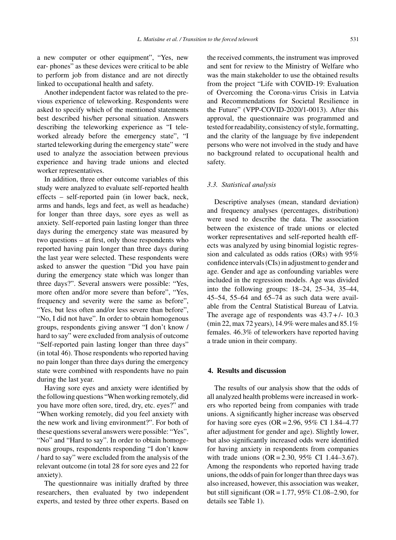a new computer or other equipment", "Yes, new ear- phones" as these devices were critical to be able to perform job from distance and are not directly linked to occupational health and safety.

Another independent factor was related to the previous experience of teleworking. Respondents were asked to specify which of the mentioned statements best described his/her personal situation. Answers describing the teleworking experience as "I teleworked already before the emergency state", "I started teleworking during the emergency state" were used to analyze the association between previous experience and having trade unions and elected worker representatives.

In addition, three other outcome variables of this study were analyzed to evaluate self-reported health effects – self-reported pain (in lower back, neck, arms and hands, legs and feet, as well as headache) for longer than three days, sore eyes as well as anxiety. Self-reported pain lasting longer than three days during the emergency state was measured by two questions – at first, only those respondents who reported having pain longer than three days during the last year were selected. These respondents were asked to answer the question "Did you have pain during the emergency state which was longer than three days?". Several answers were possible: "Yes, more often and/or more severe than before", "Yes, frequency and severity were the same as before", "Yes, but less often and/or less severe than before", "No, I did not have". In order to obtain homogenous groups, respondents giving answer "I don't know / hard to say" were excluded from analysis of outcome "Self-reported pain lasting longer than three days" (in total 46). Those respondents who reported having no pain longer than three days during the emergency state were combined with respondents have no pain during the last year.

Having sore eyes and anxiety were identified by the following questions "When working remotely, did you have more often sore, tired, dry, etc. eyes?" and "When working remotely, did you feel anxiety with the new work and living environment?". For both of these questions several answers were possible: "Yes", "No" and "Hard to say". In order to obtain homogenous groups, respondents responding "I don't know / hard to say" were excluded from the analysis of the relevant outcome (in total 28 for sore eyes and 22 for anxiety).

The questionnaire was initially drafted by three researchers, then evaluated by two independent experts, and tested by three other experts. Based on the received comments, the instrument was improved and sent for review to the Ministry of Welfare who was the main stakeholder to use the obtained results from the project "Life with COVID-19: Evaluation of Overcoming the Corona-virus Crisis in Latvia and Recommendations for Societal Resilience in the Future" (VPP-COVID-2020/1-0013). After this approval, the questionnaire was programmed and tested for readability, consistency of style, formatting, and the clarity of the language by five independent persons who were not involved in the study and have no background related to occupational health and safety.

#### *3.3. Statistical analysis*

Descriptive analyses (mean, standard deviation) and frequency analyses (percentages, distribution) were used to describe the data. The association between the existence of trade unions or elected worker representatives and self-reported health effects was analyzed by using binomial logistic regression and calculated as odds ratios (ORs) with 95% confidence intervals (CIs) in adjustment to gender and age. Gender and age as confounding variables were included in the regression models. Age was divided into the following groups: 18–24, 25–34, 35–44, 45–54, 55–64 and 65–74 as such data were available from the Central Statistical Bureau of Latvia. The average age of respondents was  $43.7 + 10.3$ (min 22, max 72 years), 14.9% were males and 85.1% females. 46.3% of teleworkers have reported having a trade union in their company.

## **4. Results and discussion**

The results of our analysis show that the odds of all analyzed health problems were increased in workers who reported being from companies with trade unions. A significantly higher increase was observed for having sore eyes (OR = 2.96, 95% CI 1.84–4.77 after adjustment for gender and age). Slightly lower, but also significantly increased odds were identified for having anxiety in respondents from companies with trade unions (OR = 2.30, 95% CI 1.44–3.67). Among the respondents who reported having trade unions, the odds of pain for longer than three days was also increased, however, this association was weaker, but still significant (OR = 1.77, 95% C1.08–2.90, for details see Table 1).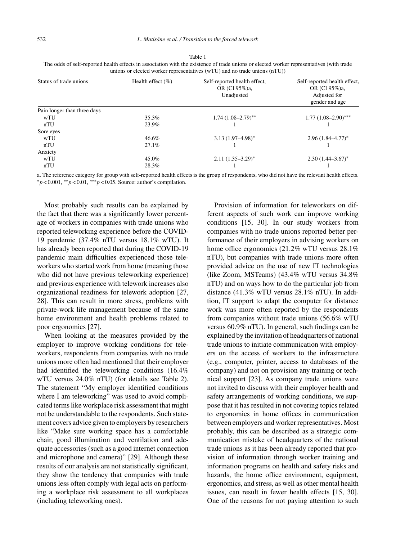Table 1 The odds of self-reported health effects in association with the existence of trade unions or elected worker representatives (with trade unions or elected worker representatives (wTU) and no trade unions (nTU))

| Status of trade unions      | Health effect $(\% )$ | Self-reported health effect,<br>OR (CI 95%)a,<br>Unadjusted | Self-reported health effect,<br>OR (CI 95%)a,<br>Adjusted for<br>gender and age |  |  |
|-----------------------------|-----------------------|-------------------------------------------------------------|---------------------------------------------------------------------------------|--|--|
| Pain longer than three days |                       |                                                             |                                                                                 |  |  |
| wTU                         | 35.3%                 | $1.74(1.08-2.79)$ **                                        | $1.77(1.08-2.90)$ ***                                                           |  |  |
| nTU                         | 23.9%                 |                                                             |                                                                                 |  |  |
| Sore eyes                   |                       |                                                             |                                                                                 |  |  |
| wTU                         | 46.6%                 | $3.13(1.97-4.98)$ *                                         | $2.96(1.84 - 4.77)^*$                                                           |  |  |
| nTU                         | 27.1%                 |                                                             |                                                                                 |  |  |
| Anxiety                     |                       |                                                             |                                                                                 |  |  |
| wTU                         | 45.0%                 | $2.11(1.35-3.29)^{*}$                                       | $2.30(1.44 - 3.67)^*$                                                           |  |  |
| nTU                         | 28.3%                 |                                                             |                                                                                 |  |  |

a. The reference category for group with self-reported health effects is the group of respondents, who did not have the relevant health effects. ∗*p* < 0.001, ∗∗*p* < 0.01, ∗∗∗*p* < 0.05. Source: author's compilation.

Most probably such results can be explained by the fact that there was a significantly lower percentage of workers in companies with trade unions who reported teleworking experience before the COVID-19 pandemic (37.4% nTU versus 18.1% wTU). It has already been reported that during the COVID-19 pandemic main difficulties experienced those teleworkers who started work from home (meaning those who did not have previous teleworking experience) and previous experience with telework increases also organizational readiness for telework adoption [27, 28]. This can result in more stress, problems with private-work life management because of the same home environment and health problems related to poor ergonomics [27].

When looking at the measures provided by the employer to improve working conditions for teleworkers, respondents from companies with no trade unions more often had mentioned that their employer had identified the teleworking conditions (16.4% wTU versus 24.0% nTU) (for details see Table 2). The statement "My employer identified conditions where I am teleworking" was used to avoid complicated terms like workplace risk assessment that might not be understandable to the respondents. Such statement covers advice given to employers by researchers like "Make sure working space has a comfortable chair, good illumination and ventilation and adequate accessories (such as a good internet connection and microphone and camera)" [29]. Although these results of our analysis are not statistically significant, they show the tendency that companies with trade unions less often comply with legal acts on performing a workplace risk assessment to all workplaces (including teleworking ones).

Provision of information for teleworkers on different aspects of such work can improve working conditions [15, 30]. In our study workers from companies with no trade unions reported better performance of their employers in advising workers on home office ergonomics (21.2% wTU versus 28.1% nTU), but companies with trade unions more often provided advice on the use of new IT technologies (like Zoom, MSTeams) (43.4% wTU versus 34.8% nTU) and on ways how to do the particular job from distance (41.3% wTU versus 28.1% nTU). In addition, IT support to adapt the computer for distance work was more often reported by the respondents from companies without trade unions (56.6% wTU versus 60.9% nTU). In general, such findings can be explained by the invitation of headquarters of national trade unions to initiate communication with employers on the access of workers to the infrastructure (e.g., computer, printer, access to databases of the company) and not on provision any training or technical support [23]. As company trade unions were not invited to discuss with their employer health and safety arrangements of working conditions, we suppose that it has resulted in not covering topics related to ergonomics in home offices in communication between employers and worker representatives. Most probably, this can be described as a strategic communication mistake of headquarters of the national trade unions as it has been already reported that provision of information through worker training and information programs on health and safety risks and hazards, the home office environment, equipment, ergonomics, and stress, as well as other mental health issues, can result in fewer health effects [15, 30]. One of the reasons for not paying attention to such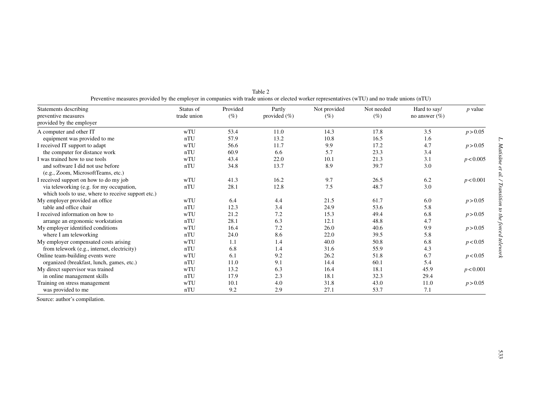| Statements describing                              | Status of   | Provided | Partly           | Not provided | Not needed | Hard to say/      | $p$ value |
|----------------------------------------------------|-------------|----------|------------------|--------------|------------|-------------------|-----------|
| preventive measures                                | trade union | $(\%)$   | provided $(\% )$ | (%)          | $(\%)$     | no answer $(\% )$ |           |
| provided by the employer                           |             |          |                  |              |            |                   |           |
| A computer and other IT                            | wTU         | 53.4     | 11.0             | 14.3         | 17.8       | 3.5               | p > 0.05  |
| equipment was provided to me                       | nTU         | 57.9     | 13.2             | 10.8         | 16.5       | 1.6               |           |
| I received IT support to adapt                     | wTU         | 56.6     | 11.7             | 9.9          | 17.2       | 4.7               | p > 0.05  |
| the computer for distance work                     | nTU         | 60.9     | 6.6              | 5.7          | 23.3       | 3.4               |           |
| I was trained how to use tools                     | wTU         | 43.4     | 22.0             | 10.1         | 21.3       | 3.1               | p < 0.005 |
| and software I did not use before                  | nTU         | 34.8     | 13.7             | 8.9          | 39.7       | 3.0               |           |
| (e.g., Zoom, MicrosoftTeams, etc.)                 |             |          |                  |              |            |                   |           |
| I received support on how to do my job             | wTU         | 41.3     | 16.2             | 9.7          | 26.5       | 6.2               | p < 0.001 |
| via teleworking (e.g. for my occupation,           | nTU         | 28.1     | 12.8             | 7.5          | 48.7       | 3.0               |           |
| which tools to use, where to receive support etc.) |             |          |                  |              |            |                   |           |
| My employer provided an office                     | wTU         | 6.4      | 4.4              | 21.5         | 61.7       | 6.0               | p > 0.05  |
| table and office chair                             | nTU         | 12.3     | 3.4              | 24.9         | 53.6       | 5.8               |           |
| I received information on how to                   | wTU         | 21.2     | 7.2              | 15.3         | 49.4       | 6.8               | p > 0.05  |
| arrange an ergonomic workstation                   | nTU         | 28.1     | 6.3              | 12.1         | 48.8       | 4.7               |           |
| My employer identified conditions                  | wTU         | 16.4     | 7.2              | 26.0         | 40.6       | 9.9               | p > 0.05  |
| where I am teleworking                             | nTU         | 24.0     | 8.6              | 22.0         | 39.5       | 5.8               |           |
| My employer compensated costs arising              | wTU         | 1.1      | 1.4              | 40.0         | 50.8       | 6.8               | p < 0.05  |
| from telework (e.g., internet, electricity)        | nTU         | 6.8      | 1.4              | 31.6         | 55.9       | 4.3               |           |
| Online team-building events were                   | wTU         | 6.1      | 9.2              | 26.2         | 51.8       | 6.7               | p < 0.05  |
| organized (breakfast, lunch, games, etc.)          | nTU         | 11.0     | 9.1              | 14.4         | 60.1       | 5.4               |           |
| My direct supervisor was trained                   | wTU         | 13.2     | 6.3              | 16.4         | 18.1       | 45.9              | p < 0.001 |
| in online management skills                        | nTU         | 17.9     | 2.3              | 18.1         | 32.3       | 29.4              |           |
| Training on stress management                      | wTU         | 10.1     | 4.0              | 31.8         | 43.0       | 11.0              | p > 0.05  |
| was provided to me                                 | nTU         | 9.2      | 2.9              | 27.1         | 53.7       | 7.1               |           |

Table 2Preventive measures provided by the employer in companies with trade unions or elected worker representatives (wTU) and no trade unions (nTU)

Source: author's compilation.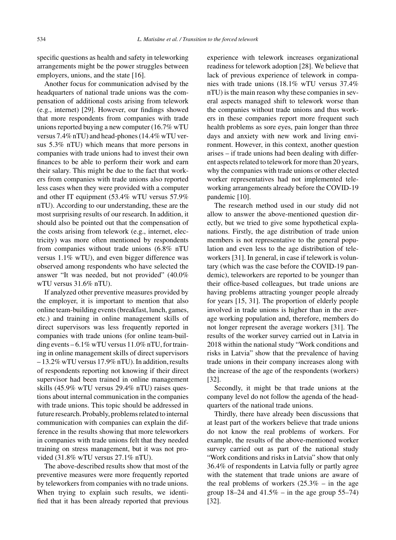specific questions as health and safety in teleworking arrangements might be the power struggles between employers, unions, and the state [16].

Another focus for communication advised by the headquarters of national trade unions was the compensation of additional costs arising from telework (e.g., internet) [29]. However, our findings showed that more respondents from companies with trade unions reported buying a new computer (16.7% wTU versus 7.4% nTU) and head-phones (14.4% wTU versus 5.3% nTU) which means that more persons in companies with trade unions had to invest their own finances to be able to perform their work and earn their salary. This might be due to the fact that workers from companies with trade unions also reported less cases when they were provided with a computer and other IT equipment (53.4% wTU versus 57.9% nTU). According to our understanding, these are the most surprising results of our research. In addition, it should also be pointed out that the compensation of the costs arising from telework (e.g., internet, electricity) was more often mentioned by respondents from companies without trade unions (6.8% nTU versus 1.1% wTU), and even bigger difference was observed among respondents who have selected the answer "It was needed, but not provided" (40.0% wTU versus 31.6% nTU).

If analyzed other preventive measures provided by the employer, it is important to mention that also online team-building events (breakfast, lunch, games, etc.) and training in online management skills of direct supervisors was less frequently reported in companies with trade unions (for online team-building events –  $6.1\%$  wTU versus 11.0% nTU, for training in online management skills of direct supervisors – 13.2% wTU versus 17.9% nTU). In addition, results of respondents reporting not knowing if their direct supervisor had been trained in online management skills (45.9% wTU versus 29.4% nTU) raises questions about internal communication in the companies with trade unions. This topic should be addressed in future research. Probably, problems related to internal communication with companies can explain the difference in the results showing that more teleworkers in companies with trade unions felt that they needed training on stress management, but it was not provided (31.8% wTU versus 27.1% nTU).

The above-described results show that most of the preventive measures were more frequently reported by teleworkers from companies with no trade unions. When trying to explain such results, we identified that it has been already reported that previous experience with telework increases organizational readiness for telework adoption [28]. We believe that lack of previous experience of telework in companies with trade unions (18.1% wTU versus 37.4% nTU) is the main reason why these companies in several aspects managed shift to telework worse than the companies without trade unions and thus workers in these companies report more frequent such health problems as sore eyes, pain longer than three days and anxiety with new work and living environment. However, in this context, another question arises – if trade unions had been dealing with different aspects related to telework for more than 20 years, why the companies with trade unions or other elected worker representatives had not implemented teleworking arrangements already before the COVID-19 pandemic [10].

The research method used in our study did not allow to answer the above-mentioned question directly, but we tried to give some hypothetical explanations. Firstly, the age distribution of trade union members is not representative to the general population and even less to the age distribution of teleworkers [31]. In general, in case if telework is voluntary (which was the case before the COVID-19 pandemic), teleworkers are reported to be younger than their office-based colleagues, but trade unions are having problems attracting younger people already for years [15, 31]. The proportion of elderly people involved in trade unions is higher than in the average working population and, therefore, members do not longer represent the average workers [31]. The results of the worker survey carried out in Latvia in 2018 within the national study "Work conditions and risks in Latvia" show that the prevalence of having trade unions in their company increases along with the increase of the age of the respondents (workers) [32].

Secondly, it might be that trade unions at the company level do not follow the agenda of the headquarters of the national trade unions.

Thirdly, there have already been discussions that at least part of the workers believe that trade unions do not know the real problems of workers. For example, the results of the above-mentioned worker survey carried out as part of the national study "Work conditions and risks in Latvia" show that only 36.4% of respondents in Latvia fully or partly agree with the statement that trade unions are aware of the real problems of workers  $(25.3\% - in$  the age group  $18-24$  and  $41.5%$  – in the age group  $55-74$ ) [32].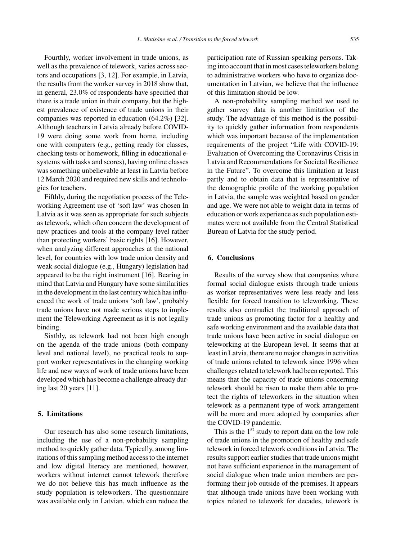Fourthly, worker involvement in trade unions, as well as the prevalence of telework, varies across sectors and occupations [3, 12]. For example, in Latvia, the results from the worker survey in 2018 show that, in general, 23.0% of respondents have specified that there is a trade union in their company, but the highest prevalence of existence of trade unions in their companies was reported in education (64.2%) [32]. Although teachers in Latvia already before COVID-19 were doing some work from home, including one with computers (e.g., getting ready for classes, checking tests or homework, filling in educational esystems with tasks and scores), having online classes was something unbelievable at least in Latvia before 12 March 2020 and required new skills and technologies for teachers.

Fifthly, during the negotiation process of the Teleworking Agreement use of 'soft law' was chosen In Latvia as it was seen as appropriate for such subjects as telework, which often concern the development of new practices and tools at the company level rather than protecting workers' basic rights [16]. However, when analyzing different approaches at the national level, for countries with low trade union density and weak social dialogue (e.g., Hungary) legislation had appeared to be the right instrument [16]. Bearing in mind that Latvia and Hungary have some similarities in the development in the last century which has influenced the work of trade unions 'soft law', probably trade unions have not made serious steps to implement the Teleworking Agreement as it is not legally binding.

Sixthly, as telework had not been high enough on the agenda of the trade unions (both company level and national level), no practical tools to support worker representatives in the changing working life and new ways of work of trade unions have been developed which has become a challenge already during last 20 years [11].

## **5. Limitations**

Our research has also some research limitations, including the use of a non-probability sampling method to quickly gather data. Typically, among limitations of this sampling method access to the internet and low digital literacy are mentioned, however, workers without internet cannot telework therefore we do not believe this has much influence as the study population is teleworkers. The questionnaire was available only in Latvian, which can reduce the participation rate of Russian-speaking persons. Taking into account that in most cases teleworkers belong to administrative workers who have to organize documentation in Latvian, we believe that the influence of this limitation should be low.

A non-probability sampling method we used to gather survey data is another limitation of the study. The advantage of this method is the possibility to quickly gather information from respondents which was important because of the implementation requirements of the project "Life with COVID-19: Evaluation of Overcoming the Coronavirus Crisis in Latvia and Recommendations for Societal Resilience in the Future". To overcome this limitation at least partly and to obtain data that is representative of the demographic profile of the working population in Latvia, the sample was weighted based on gender and age. We were not able to weight data in terms of education or work experience as such population estimates were not available from the Central Statistical Bureau of Latvia for the study period.

# **6. Conclusions**

Results of the survey show that companies where formal social dialogue exists through trade unions as worker representatives were less ready and less flexible for forced transition to teleworking. These results also contradict the traditional approach of trade unions as promoting factor for a healthy and safe working environment and the available data that trade unions have been active in social dialogue on teleworking at the European level. It seems that at least in Latvia, there are no major changes in activities of trade unions related to telework since 1996 when challenges related to telework had been reported. This means that the capacity of trade unions concerning telework should be risen to make them able to protect the rights of teleworkers in the situation when telework as a permanent type of work arrangement will be more and more adopted by companies after the COVID-19 pandemic.

This is the  $1<sup>st</sup>$  study to report data on the low role of trade unions in the promotion of healthy and safe telework in forced telework conditions in Latvia. The results support earlier studies that trade unions might not have sufficient experience in the management of social dialogue when trade union members are performing their job outside of the premises. It appears that although trade unions have been working with topics related to telework for decades, telework is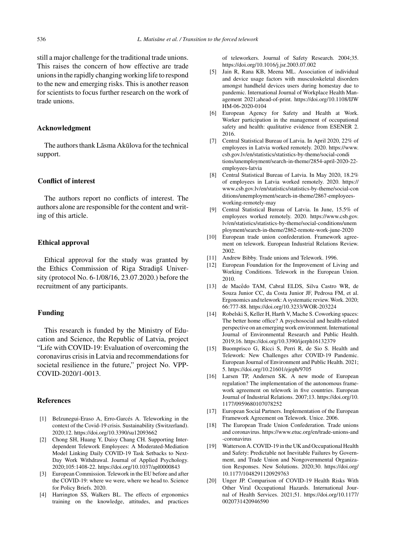still a major challenge for the traditional trade unions. This raises the concern of how effective are trade unions in the rapidly changing working life to respond to the new and emerging risks. This is another reason for scientists to focus further research on the work of trade unions.

# **Acknowledgment**

The authors thank L $\bar{a}$ sma Akūlova for the technical support.

## **Conflict of interest**

The authors report no conflicts of interest. The authors alone are responsible for the content and writing of this article.

# **Ethical approval**

Ethical approval for the study was granted by the Ethics Commission of Riga Stradinš University (protocol No. 6-1/08/16, 23.07.2020.) before the recruitment of any participants.

# **Funding**

This research is funded by the Ministry of Education and Science, the Republic of Latvia, project "Life with COVID-19: Evaluation of overcoming the coronavirus crisis in Latvia and recommendations for societal resilience in the future," project No. VPP-COVID-2020/1-0013.

#### **References**

- [1] Belzunegui-Eraso A, Erro-Garcés A. Teleworking in the context of the Covid-19 crisis. Sustainability (Switzerland). 2020;12.<https://doi.org/10.3390/su12093662>
- [2] Chong SH, Huang Y, Daisy Chang CH. Supporting Interdependent Telework Employees: A Moderated-Mediation Model Linking Daily COVID-19 Task Setbacks to Next-Day Work Withdrawal. Journal of Applied Psychology. 2020;105:1408-22.<https://doi.org/10.1037/apl0000843>
- [3] European Commission. Telework in the EU before and after the COVID-19: where we were, where we head to. Science for Policy Briefs. 2020.
- [4] Harrington SS, Walkers BL. The effects of ergonomics training on the knowledge, attitudes, and practices

of teleworkers. Journal of Safety Research. 2004;35. <https://doi.org/10.1016/j.jsr.2003.07.002>

- [5] Jain R, Rana KB, Meena ML. Association of individual and device usage factors with musculoskeletal disorders amongst handheld devices users during homestay due to pandemic. International Journal of Workplace Health Management 2021;ahead-of-print. [https://doi.org/10.1108/IJW](https://doi.org/10.1108/IJWHM-06-2020-0104) HM-06-2020-0104
- [6] European Agency for Safety and Health at Work. Worker participation in the management of occupational safety and health: qualitative evidence from ESENER 2. 2016.
- [7] Central Statistical Bureau of Latvia. In April 2020, 22% of employees in Latvia worked remotely. 2020. [https://www.](https://www.csb.gov.lv/en/statistics/statistics-by-theme/social-conditions/unemployment/search-in-theme/2854-april-2020-22-employees-latvia) csb.gov.lv/en/statistics/statistics-by-theme/social-condi tions/unemployment/search-in-theme/2854-april-2020-22 employees-latvia
- [8] Central Statistical Bureau of Latvia. In May 2020, 18.2% of employees in Latvia worked remotely. 2020. [https://](https://www.csb.gov.lv/en/statistics/statistics-by-theme/social-conditions/unemployment/search-in-theme/2867-employees-working-remotely-may) www.csb.gov.lv/en/statistics/statistics-by-theme/social-con ditions/unemployment/search-in-theme/2867-employeesworking-remotely-may
- [9] Central Statistical Bureau of Latvia. In June, 15.5% of employees worked remotely. 2020. [https://www.csb.gov.](https://www.csb.gov.lv/en/statistics/statistics-by-theme/social-conditions/unemployment/search-in-theme/2862-remote-work-june-2020) lv/en/statistics/statistics-by-theme/social-conditions/unem ployment/search-in-theme/2862-remote-work-june-2020
- [10] European trade union confederation. Framework agreement on telework. European Industrial Relations Review. 2002.
- [11] Andrew Bibby. Trade unions and Telework. 1996.
- [12] European Foundation for the Improvement of Living and Working Conditions. Telework in the European Union. 2010.
- [13] de Macêdo TAM, Cabral ELDS, Silva Castro WR, de Souza Junior CC, da Costa Junior JF, Pedrosa FM, et al. Ergonomics and telework: A systematic review. Work. 2020; 66:777-88.<https://doi.org/10.3233/WOR-203224>
- [14] Robelski S, Keller H, Harth V, Mache S. Coworking spaces: The better home office? A psychosocial and health-related perspective on an emerging work environment. International Journal of Environmental Research and Public Health. 2019;16.<https://doi.org/10.3390/ijerph16132379>
- [15] Buomprisco G, Ricci S, Perri R, de Sio S. Health and Telework: New Challenges after COVID-19 Pandemic. European Journal of Environment and Public Health. 2021; 5.<https://doi.org/10.21601/ejeph/9705>
- [16] Larsen TP, Andersen SK. A new mode of European regulation? The implementation of the autonomous framework agreement on telework in five countries. European Journal of Industrial Relations. 2007;13. [https://doi.org/10.](https://doi.org/10.1177/0959680107078252) 1177/0959680107078252
- [17] European Social Partners. Implementation of the European Framework Agreement on Telework. Unice. 2006.
- [18] The European Trade Union Confederation. Trade unions and coronavirus. [https://www.etuc.org/en/trade-unions-and](https://www.etuc.org/en/trade-unions-and-coronavirus) -coronavirus
- [19] Watterson A. COVID-19 in the UK and Occupational Health and Safety: Predictable not Inevitable Failures by Government, and Trade Union and Nongovernmental Organization Responses. New Solutions. 2020;30. [https://doi.org/](https://doi.org/10.1177/1048291120929763) 10.1177/1048291120929763
- [20] Unger JP. Comparison of COVID-19 Health Risks With Other Viral Occupational Hazards. International Journal of Health Services. 2021;51. [https://doi.org/10.1177/](https://doi.org/10.1177/0020731420946590) 0020731420946590